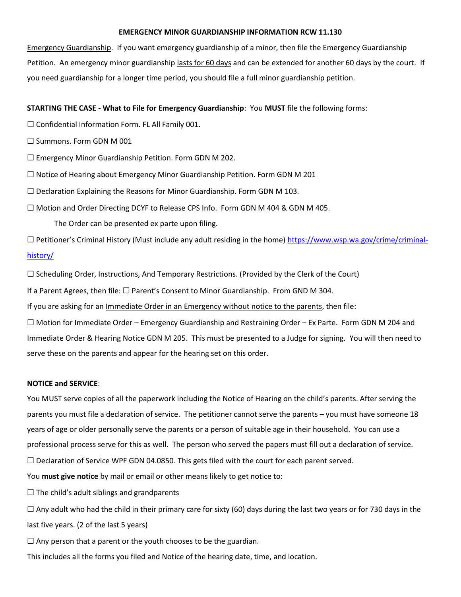### **EMERGENCY MINOR GUARDIANSHIP INFORMATION RCW 11.130**

Emergency Guardianship. If you want emergency guardianship of a minor, then file the Emergency Guardianship Petition. An emergency minor guardianship lasts for 60 days and can be extended for another 60 days by the court. If you need guardianship for a longer time period, you should file a full minor guardianship petition.

## **STARTING THE CASE - What to File for Emergency Guardianship**: You **MUST** file the following forms:

- ☐ Confidential Information Form. FL All Family 001.
- □ Summons. Form GDN M 001
- ☐ Emergency Minor Guardianship Petition. Form GDN M 202.
- $\Box$  Notice of Hearing about Emergency Minor Guardianship Petition. Form GDN M 201
- $\Box$  Declaration Explaining the Reasons for Minor Guardianship. Form GDN M 103.
- ☐ Motion and Order Directing DCYF to Release CPS Info. Form GDN M 404 & GDN M 405.

The Order can be presented ex parte upon filing.

□ Petitioner's Criminal History (Must include any adult residing in the home) [https://www.wsp.wa.gov/crime/criminal](https://www.wsp.wa.gov/crime/criminal-history/)[history/](https://www.wsp.wa.gov/crime/criminal-history/)

 $\Box$  Scheduling Order, Instructions, And Temporary Restrictions. (Provided by the Clerk of the Court)

If a Parent Agrees, then file: ☐ Parent's Consent to Minor Guardianship. From GND M 304.

If you are asking for an Immediate Order in an Emergency without notice to the parents, then file:

☐ Motion for Immediate Order – Emergency Guardianship and Restraining Order – Ex Parte. Form GDN M 204 and Immediate Order & Hearing Notice GDN M 205. This must be presented to a Judge for signing. You will then need to serve these on the parents and appear for the hearing set on this order.

### **NOTICE and SERVICE**:

You MUST serve copies of all the paperwork including the Notice of Hearing on the child's parents. After serving the parents you must file a declaration of service. The petitioner cannot serve the parents – you must have someone 18 years of age or older personally serve the parents or a person of suitable age in their household. You can use a professional process serve for this as well. The person who served the papers must fill out a declaration of service.  $\Box$  Declaration of Service WPF GDN 04.0850. This gets filed with the court for each parent served.

You **must give notice** by mail or email or other means likely to get notice to:

 $\Box$  The child's adult siblings and grandparents

 $\Box$  Any adult who had the child in their primary care for sixty (60) days during the last two years or for 730 days in the last five years. (2 of the last 5 years)

 $\Box$  Any person that a parent or the youth chooses to be the guardian.

This includes all the forms you filed and Notice of the hearing date, time, and location.